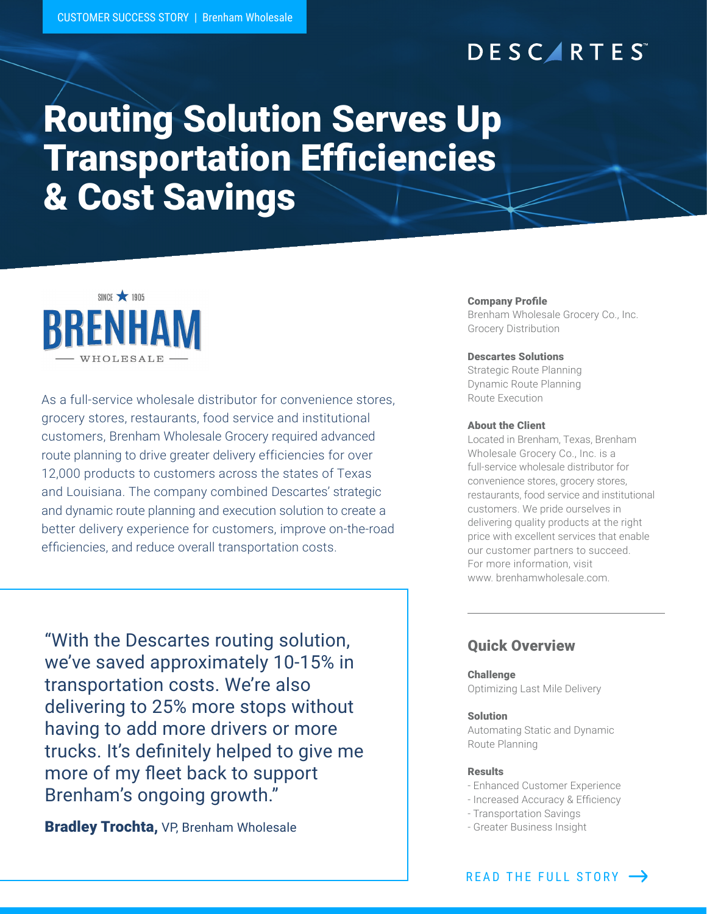# **DESCARTES**

# Routing Solution Serves Up Transportation Efficiencies & Cost Savings



As a full-service wholesale distributor for convenience stores, grocery stores, restaurants, food service and institutional customers, Brenham Wholesale Grocery required advanced route planning to drive greater delivery efficiencies for over 12,000 products to customers across the states of Texas and Louisiana. The company combined Descartes' strategic and dynamic route planning and execution solution to create a better delivery experience for customers, improve on-the-road efficiencies, and reduce overall transportation costs.

"With the Descartes routing solution, we've saved approximately 10-15% in transportation costs. We're also delivering to 25% more stops without having to add more drivers or more trucks. It's definitely helped to give me more of my fleet back to support Brenham's ongoing growth."

**Bradley Trochta, VP, Brenham Wholesale** 

#### Company Profile

Brenham Wholesale Grocery Co., Inc. Grocery Distribution

#### Descartes Solutions

Strategic Route Planning Dynamic Route Planning Route Execution

#### About the Client

Located in Brenham, Texas, Brenham Wholesale Grocery Co., Inc. is a full-service wholesale distributor for convenience stores, grocery stores, restaurants, food service and institutional customers. We pride ourselves in delivering quality products at the right price with excellent services that enable our customer partners to succeed. For more information, visit www. brenhamwholesale.com.

### Quick Overview

#### **Challenge** Optimizing Last Mile Delivery

#### Solution

Automating Static and Dynamic Route Planning

#### Results

- Enhanced Customer Experience
- Increased Accuracy & Efficiency
- Transportation Savings
- Greater Business Insight